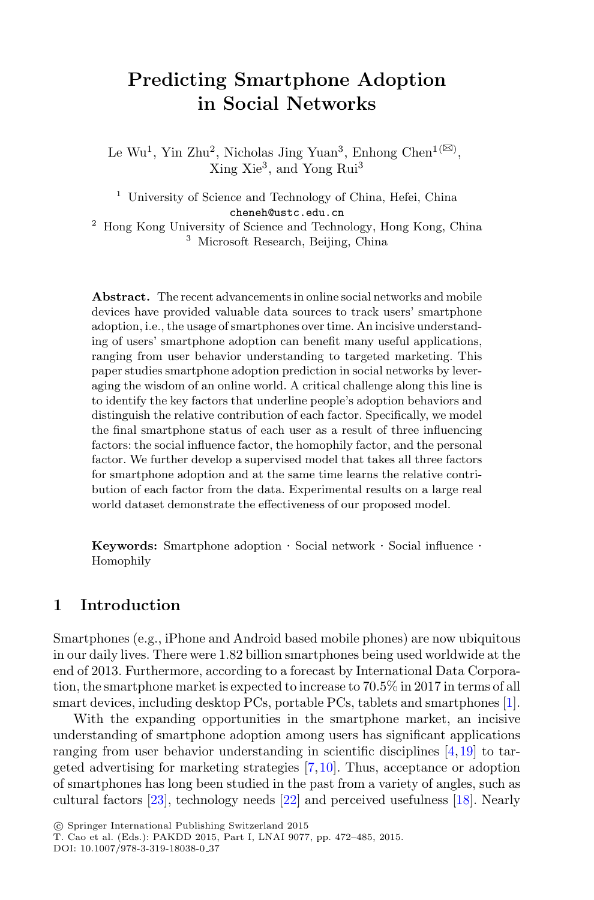# **Predicting Smartphone Adoption in Social Networks**

Le Wu<sup>1</sup>, Yin Zhu<sup>2</sup>, Nicholas Jing Yuan<sup>3</sup>, Enhong Chen<sup>1( $\boxtimes$ )</sup>, Xing Xie<sup>3</sup>, and Yong Rui<sup>3</sup>

<sup>1</sup> University of Science and Technology of China, Hefei, China cheneh@ustc.edu.cn

<sup>2</sup> Hong Kong University of Science and Technology, Hong Kong, China <sup>3</sup> Microsoft Research, Beijing, China

**Abstract.** The recent advancements in online social networks and mobile devices have provided valuable data sources to track users' smartphone adoption, i.e., the usage of smartphones over time. An incisive understanding of users' smartphone adoption can benefit many useful applications, ranging from user behavior understanding to targeted marketing. This paper studies smartphone adoption prediction in social networks by leveraging the wisdom of an online world. A critical challenge along this line is to identify the key factors that underline people's adoption behaviors and distinguish the relative contribution of each factor. Specifically, we model the final smartphone status of each user as a result of three influencing factors: the social influence factor, the homophily factor, and the personal factor. We further develop a supervised model that takes all three factors for smartphone adoption and at the same time learns the relative contribution of each factor from the data. Experimental results on a large real world dataset demonstrate the effectiveness of our proposed model.

**Keywords:** Smartphone adoption · Social network · Social influence · Homophily

### **1 Introduction**

Smartphones (e.g., iPhone and Android based mobile phones) are now ubiquitous in our daily lives. There were 1.82 billion smartphones being used worldwide at the end of 2013. Furthermore, according to a forecast by International Data Corporation, the smartphone market is expected to increase to 70.5% in 2017 in terms of all smart devices, including desktop PCs, portable PCs, tablets and smartphones [\[1\]](#page-12-0).

With the expanding opportunities in the smartphone market, an incisive understanding of smartphone adoption among users has significant applications ranging from user behavior understanding in scientific disciplines [\[4,](#page-12-1)[19](#page-13-0)] to targeted advertising for marketing strategies [\[7,](#page-12-2)[10\]](#page-13-1). Thus, acceptance or adoption of smartphones has long been studied in the past from a variety of angles, such as cultural factors [\[23](#page-13-2)], technology needs [\[22\]](#page-13-3) and perceived usefulness [\[18\]](#page-13-4). Nearly

<sup>-</sup>c Springer International Publishing Switzerland 2015

T. Cao et al. (Eds.): PAKDD 2015, Part I, LNAI 9077, pp. 472–485, 2015.

DOI: 10.1007/978-3-319-18038-0 37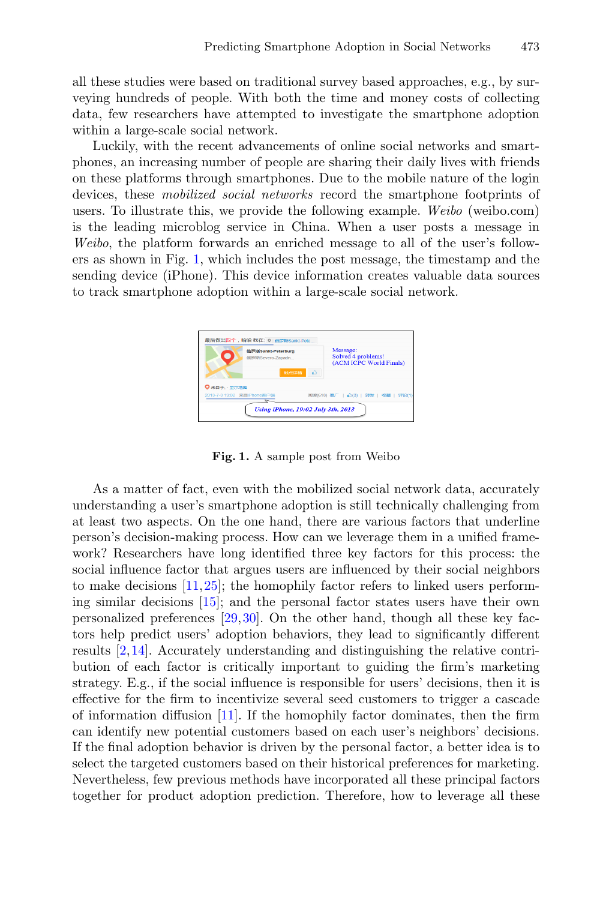all these studies were based on traditional survey based approaches, e.g., by surveying hundreds of people. With both the time and money costs of collecting data, few researchers have attempted to investigate the smartphone adoption within a large-scale social network.

Luckily, with the recent advancements of online social networks and smartphones, an increasing number of people are sharing their daily lives with friends on these platforms through smartphones. Due to the mobile nature of the login devices, these *mobilized social networks* record the smartphone footprints of users. To illustrate this, we provide the following example. *Weibo* (weibo.com) is the leading microblog service in China. When a user posts a message in *Weibo*, the platform forwards an enriched message to all of the user's followers as shown in Fig. [1,](#page-1-0) which includes the post message, the timestamp and the sending device (iPhone). This device information creates valuable data sources to track smartphone adoption within a large-scale social network.



**Fig. 1.** A sample post from Weibo

<span id="page-1-0"></span>As a matter of fact, even with the mobilized social network data, accurately understanding a user's smartphone adoption is still technically challenging from at least two aspects. On the one hand, there are various factors that underline person's decision-making process. How can we leverage them in a unified framework? Researchers have long identified three key factors for this process: the social influence factor that argues users are influenced by their social neighbors to make decisions [\[11](#page-13-5)[,25](#page-13-6)]; the homophily factor refers to linked users performing similar decisions [\[15](#page-13-7)]; and the personal factor states users have their own personalized preferences [\[29,](#page-13-8)[30\]](#page-13-9). On the other hand, though all these key factors help predict users' adoption behaviors, they lead to significantly different results [\[2](#page-12-3)[,14](#page-13-10)]. Accurately understanding and distinguishing the relative contribution of each factor is critically important to guiding the firm's marketing strategy. E.g., if the social influence is responsible for users' decisions, then it is effective for the firm to incentivize several seed customers to trigger a cascade of information diffusion [\[11](#page-13-5)]. If the homophily factor dominates, then the firm can identify new potential customers based on each user's neighbors' decisions. If the final adoption behavior is driven by the personal factor, a better idea is to select the targeted customers based on their historical preferences for marketing. Nevertheless, few previous methods have incorporated all these principal factors together for product adoption prediction. Therefore, how to leverage all these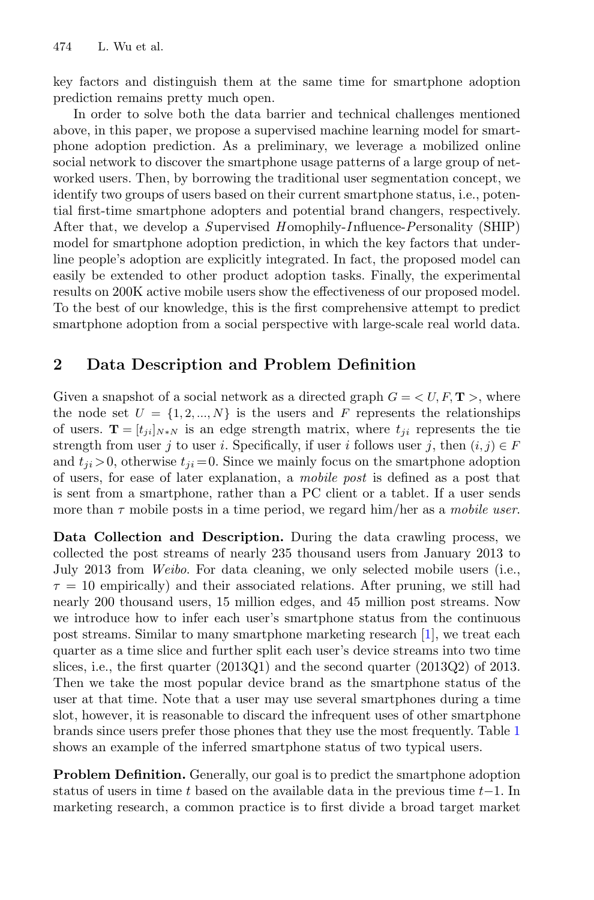key factors and distinguish them at the same time for smartphone adoption prediction remains pretty much open.

In order to solve both the data barrier and technical challenges mentioned above, in this paper, we propose a supervised machine learning model for smartphone adoption prediction. As a preliminary, we leverage a mobilized online social network to discover the smartphone usage patterns of a large group of networked users. Then, by borrowing the traditional user segmentation concept, we identify two groups of users based on their current smartphone status, i.e., potential first-time smartphone adopters and potential brand changers, respectively. After that, we develop a *S*upervised *H* omophily-*I* nfluence-*P*ersonality (SHIP) model for smartphone adoption prediction, in which the key factors that underline people's adoption are explicitly integrated. In fact, the proposed model can easily be extended to other product adoption tasks. Finally, the experimental results on 200K active mobile users show the effectiveness of our proposed model. To the best of our knowledge, this is the first comprehensive attempt to predict smartphone adoption from a social perspective with large-scale real world data.

### <span id="page-2-0"></span>**2 Data Description and Problem Definition**

Given a snapshot of a social network as a directed graph  $G = \langle U, F, \mathbf{T} \rangle$ , where the node set  $U = \{1, 2, ..., N\}$  is the users and F represents the relationships of users. **T** =  $[t_{ji}]_{N*N}$  is an edge strength matrix, where  $t_{ji}$  represents the tie strength from user j to user i. Specifically, if user i follows user j, then  $(i, j) \in F$ and  $t_{ji} > 0$ , otherwise  $t_{ji} = 0$ . Since we mainly focus on the smartphone adoption of users, for ease of later explanation, a *mobile post* is defined as a post that is sent from a smartphone, rather than a PC client or a tablet. If a user sends more than τ mobile posts in a time period, we regard him/her as a *mobile user*.

**Data Collection and Description.** During the data crawling process, we collected the post streams of nearly 235 thousand users from January 2013 to July 2013 from *Weibo*. For data cleaning, we only selected mobile users (i.e.,  $\tau = 10$  empirically) and their associated relations. After pruning, we still had nearly 200 thousand users, 15 million edges, and 45 million post streams. Now we introduce how to infer each user's smartphone status from the continuous post streams. Similar to many smartphone marketing research [\[1](#page-12-0)], we treat each quarter as a time slice and further split each user's device streams into two time slices, i.e., the first quarter (2013Q1) and the second quarter (2013Q2) of 2013. Then we take the most popular device brand as the smartphone status of the user at that time. Note that a user may use several smartphones during a time slot, however, it is reasonable to discard the infrequent uses of other smartphone brands since users prefer those phones that they use the most frequently. Table [1](#page-3-0) shows an example of the inferred smartphone status of two typical users.

**Problem Definition.** Generally, our goal is to predict the smartphone adoption status of users in time t based on the available data in the previous time  $t-1$ . In marketing research, a common practice is to first divide a broad target market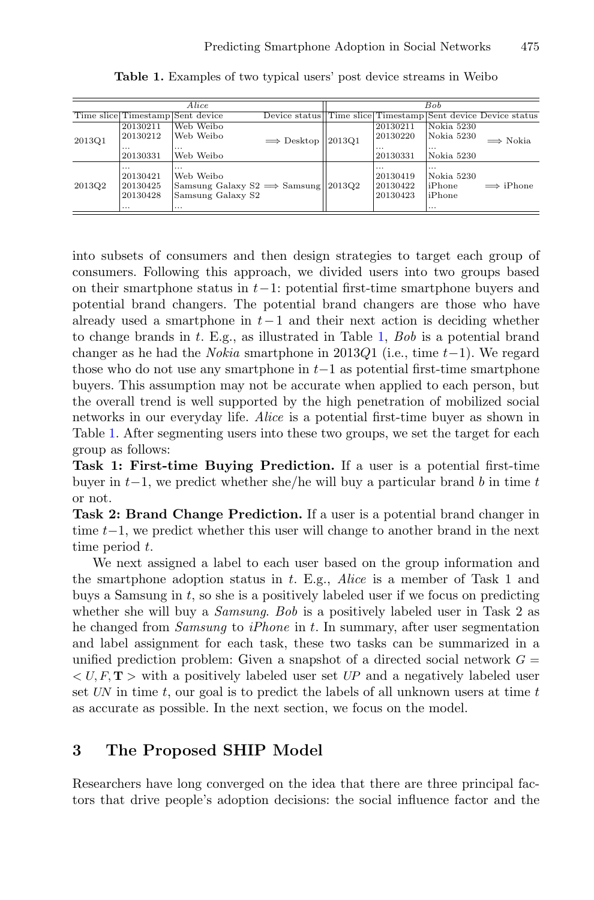<span id="page-3-0"></span>

| Alice  |                                                          |                                                                                                         |                             | <b>Bob</b> |                                              |                                                          |                                                              |
|--------|----------------------------------------------------------|---------------------------------------------------------------------------------------------------------|-----------------------------|------------|----------------------------------------------|----------------------------------------------------------|--------------------------------------------------------------|
|        |                                                          | Time slice Timestamp Sent device                                                                        |                             |            |                                              |                                                          | Device status Time slice Timestamp Sent device Device status |
| 2013Q1 | 20130211<br>20130212<br>$\cdots$<br>20130331             | Web Weibo<br>Web Weibo<br>$\cdots$<br>Web Weibo                                                         | $\implies$ Desktop   2013Q1 |            | 20130211<br>20130220<br>$\cdots$<br>20130331 | Nokia 5230<br>Nokia 5230<br>$\cdots$<br>Nokia 5230       | $\implies$ Nokia                                             |
| 2013Q2 | $\cdots$<br>20130421<br>20130425<br>20130428<br>$\cdots$ | $\cdots$<br>Web Weibo<br>Samsung Galaxy $S2 \implies$ Samsung   2013Q2<br>Samsung Galaxy S2<br>$\cdots$ |                             |            | $\cdots$<br>20130419<br>20130422<br>20130423 | $\cdots$<br>Nokia 5230<br>liPhone<br>liPhone<br>$\cdots$ | $\implies$ iPhone                                            |

**Table 1.** Examples of two typical users' post device streams in Weibo

into subsets of consumers and then design strategies to target each group of consumers. Following this approach, we divided users into two groups based on their smartphone status in <sup>t</sup>−1: potential first-time smartphone buyers and potential brand changers. The potential brand changers are those who have already used a smartphone in  $t-1$  and their next action is deciding whether to change brands in t. E.g., as illustrated in Table [1,](#page-3-0) *Bob* is a potential brand changer as he had the *Nokia* smartphone in 2013Q1 (i.e., time  $t-1$ ). We regard those who do not use any smartphone in <sup>t</sup>−1 as potential first-time smartphone buyers. This assumption may not be accurate when applied to each person, but the overall trend is well supported by the high penetration of mobilized social networks in our everyday life. *Alice* is a potential first-time buyer as shown in Table [1.](#page-3-0) After segmenting users into these two groups, we set the target for each group as follows:

**Task 1: First-time Buying Prediction.** If a user is a potential first-time buyer in  $t-1$ , we predict whether she/he will buy a particular brand b in time t or not.

**Task 2: Brand Change Prediction.** If a user is a potential brand changer in time <sup>t</sup>−1, we predict whether this user will change to another brand in the next time period t.

We next assigned a label to each user based on the group information and the smartphone adoption status in t. E.g., *Alice* is a member of Task 1 and buys a Samsung in  $t$ , so she is a positively labeled user if we focus on predicting whether she will buy a *Samsung*. *Bob* is a positively labeled user in Task 2 as he changed from *Samsung* to *iPhone* in t. In summary, after user segmentation and label assignment for each task, these two tasks can be summarized in a unified prediction problem: Given a snapshot of a directed social network  $G =$  $\langle U, F, T \rangle$  with a positively labeled user set UP and a negatively labeled user set UN in time <sup>t</sup>, our goal is to predict the labels of all unknown users at time <sup>t</sup> as accurate as possible. In the next section, we focus on the model.

#### **3 The Proposed SHIP Model**

Researchers have long converged on the idea that there are three principal factors that drive people's adoption decisions: the social influence factor and the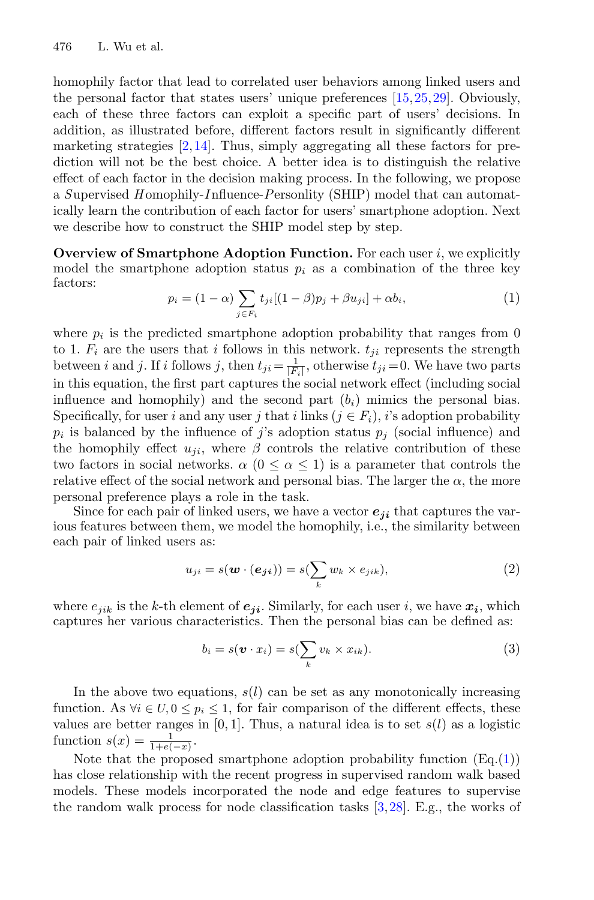homophily factor that lead to correlated user behaviors among linked users and the personal factor that states users' unique preferences [\[15,](#page-13-7)[25](#page-13-6)[,29](#page-13-8)]. Obviously, each of these three factors can exploit a specific part of users' decisions. In addition, as illustrated before, different factors result in significantly different marketing strategies  $[2,14]$  $[2,14]$ . Thus, simply aggregating all these factors for prediction will not be the best choice. A better idea is to distinguish the relative effect of each factor in the decision making process. In the following, we propose a *S*upervised *H* omophily-*I* nfluence-*P*ersonlity (SHIP) model that can automatically learn the contribution of each factor for users' smartphone adoption. Next we describe how to construct the SHIP model step by step.

<span id="page-4-0"></span>**Overview of Smartphone Adoption Function.** For each user *i*, we explicitly model the smartphone adoption status  $p_i$  as a combination of the three key factors:

$$
p_i = (1 - \alpha) \sum_{j \in F_i} t_{ji} [(1 - \beta) p_j + \beta u_{ji}] + \alpha b_i,
$$
 (1)

where  $p_i$  is the predicted smartphone adoption probability that ranges from 0 to 1.  $F_i$  are the users that i follows in this network.  $t_{ji}$  represents the strength between *i* and *j*. If *i* follows *j*, then  $t_{ji} = \frac{1}{|F_i|}$ , otherwise  $t_{ji} = 0$ . We have two parts in this equation, the first part captures the social network effect (including social influence and homophily) and the second part  $(b_i)$  mimics the personal bias. Specifically, for user i and any user j that i links  $(j \in F_i)$ , i's adoption probability  $p_i$  is balanced by the influence of j's adoption status  $p_j$  (social influence) and the homophily effect  $u_{ii}$ , where  $\beta$  controls the relative contribution of these two factors in social networks.  $\alpha$  ( $0 \leq \alpha \leq 1$ ) is a parameter that controls the relative effect of the social network and personal bias. The larger the  $\alpha$ , the more personal preference plays a role in the task.

Since for each pair of linked users, we have a vector  $e_{ii}$  that captures the various features between them, we model the homophily, i.e., the similarity between each pair of linked users as:

$$
u_{ji} = s(\boldsymbol{w} \cdot (\boldsymbol{e_{ji}})) = s(\sum_{k} w_k \times e_{jik}), \qquad (2)
$$

<span id="page-4-1"></span>where  $e_{ijk}$  is the k-th element of  $e_{ji}$ . Similarly, for each user i, we have  $x_i$ , which captures her various characteristics. Then the personal bias can be defined as:

$$
b_i = s(\boldsymbol{v} \cdot x_i) = s(\sum_k v_k \times x_{ik}).
$$
\n(3)

In the above two equations,  $s(l)$  can be set as any monotonically increasing function. As  $\forall i \in U, 0 \leq p_i \leq 1$ , for fair comparison of the different effects, these values are better ranges in  $[0, 1]$ . Thus, a natural idea is to set  $s(l)$  as a logistic function  $s(x) = \frac{1}{1+e(-x)}$ .

Note that the proposed smartphone adoption probability function  $(Eq.(1))$  $(Eq.(1))$  $(Eq.(1))$ has close relationship with the recent progress in supervised random walk based models. These models incorporated the node and edge features to supervise the random walk process for node classification tasks [\[3](#page-12-4)[,28](#page-13-11)]. E.g., the works of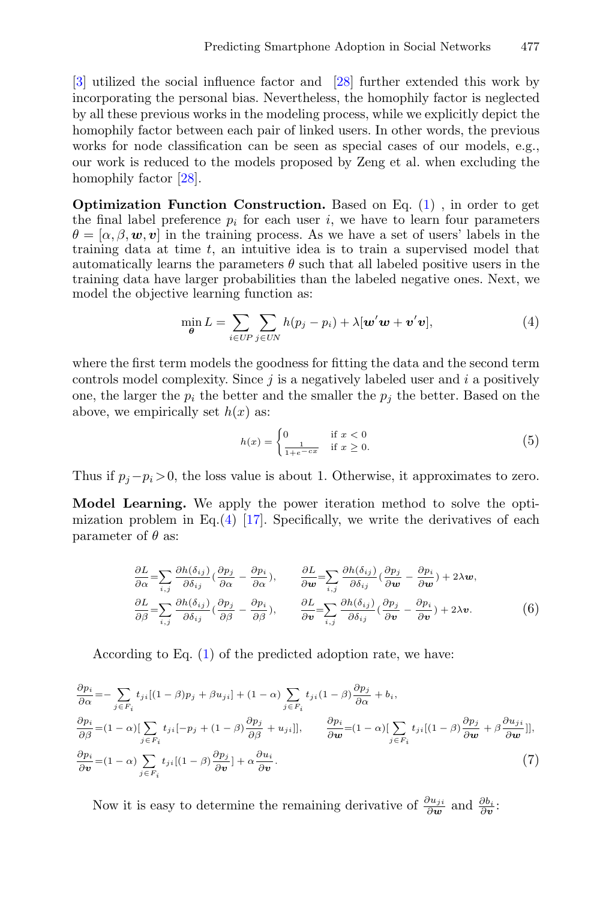[\[3](#page-12-4)] utilized the social influence factor and [\[28](#page-13-11)] further extended this work by incorporating the personal bias. Nevertheless, the homophily factor is neglected by all these previous works in the modeling process, while we explicitly depict the homophily factor between each pair of linked users. In other words, the previous works for node classification can be seen as special cases of our models, e.g., our work is reduced to the models proposed by Zeng et al. when excluding the homophily factor [\[28\]](#page-13-11).

**Optimization Function Construction.** Based on Eq. [\(1\)](#page-4-0) , in order to get the final label preference  $p_i$  for each user i, we have to learn four parameters  $\theta = [\alpha, \beta, \mathbf{w}, \mathbf{v}]$  in the training process. As we have a set of users' labels in the training data at time  $t$ , an intuitive idea is to train a supervised model that automatically learns the parameters  $\theta$  such that all labeled positive users in the training data have larger probabilities than the labeled negative ones. Next, we model the objective learning function as:

$$
\min_{\boldsymbol{\theta}} L = \sum_{i \in UP} \sum_{j \in UN} h(p_j - p_i) + \lambda [\boldsymbol{w}' \boldsymbol{w} + \boldsymbol{v}' \boldsymbol{v}], \tag{4}
$$

<span id="page-5-0"></span>where the first term models the goodness for fitting the data and the second term controls model complexity. Since  $j$  is a negatively labeled user and  $i$  a positively one, the larger the  $p_i$  the better and the smaller the  $p_i$  the better. Based on the above, we empirically set  $h(x)$  as:

$$
h(x) = \begin{cases} 0 & \text{if } x < 0\\ \frac{1}{1+e^{-cx}} & \text{if } x \ge 0. \end{cases}
$$
 (5)

Thus if  $p_i - p_i > 0$ , the loss value is about 1. Otherwise, it approximates to zero.

<span id="page-5-2"></span>**Model Learning.** We apply the power iteration method to solve the optimization problem in Eq. $(4)$  [\[17](#page-13-12)]. Specifically, we write the derivatives of each parameter of  $\theta$  as:

$$
\frac{\partial L}{\partial \alpha} = \sum_{i,j} \frac{\partial h(\delta_{ij})}{\partial \delta_{ij}} \left(\frac{\partial p_j}{\partial \alpha} - \frac{\partial p_i}{\partial \alpha}\right), \qquad \frac{\partial L}{\partial \mathbf{w}} = \sum_{i,j} \frac{\partial h(\delta_{ij})}{\partial \delta_{ij}} \left(\frac{\partial p_j}{\partial \mathbf{w}} - \frac{\partial p_i}{\partial \mathbf{w}}\right) + 2\lambda \mathbf{w},
$$
\n
$$
\frac{\partial L}{\partial \beta} = \sum_{i,j} \frac{\partial h(\delta_{ij})}{\partial \delta_{ij}} \left(\frac{\partial p_j}{\partial \beta} - \frac{\partial p_i}{\partial \beta}\right), \qquad \frac{\partial L}{\partial \mathbf{v}} = \sum_{i,j} \frac{\partial h(\delta_{ij})}{\partial \delta_{ij}} \left(\frac{\partial p_j}{\partial \mathbf{v}} - \frac{\partial p_i}{\partial \mathbf{v}}\right) + 2\lambda \mathbf{v}.
$$
\n(6)

According to Eq. [\(1\)](#page-4-0) of the predicted adoption rate, we have:

<span id="page-5-1"></span>
$$
\frac{\partial p_i}{\partial \alpha} = -\sum_{j \in F_i} t_{ji} [(1 - \beta) p_j + \beta u_{ji}] + (1 - \alpha) \sum_{j \in F_i} t_{ji} (1 - \beta) \frac{\partial p_j}{\partial \alpha} + b_i,
$$
  
\n
$$
\frac{\partial p_i}{\partial \beta} = (1 - \alpha) [\sum_{j \in F_i} t_{ji} [-p_j + (1 - \beta) \frac{\partial p_j}{\partial \beta} + u_{ji}]], \qquad \frac{\partial p_i}{\partial \mathbf{w}} = (1 - \alpha) [\sum_{j \in F_i} t_{ji} [(1 - \beta) \frac{\partial p_j}{\partial \mathbf{w}} + \beta \frac{\partial u_{ji}}{\partial \mathbf{w}}]],
$$
  
\n
$$
\frac{\partial p_i}{\partial \mathbf{v}} = (1 - \alpha) \sum_{j \in F_i} t_{ji} [(1 - \beta) \frac{\partial p_j}{\partial \mathbf{v}}] + \alpha \frac{\partial u_i}{\partial \mathbf{v}}.
$$
\n(7)

Now it is easy to determine the remaining derivative of  $\frac{\partial u_{ji}}{\partial w}$  and  $\frac{\partial b_i}{\partial v}$ .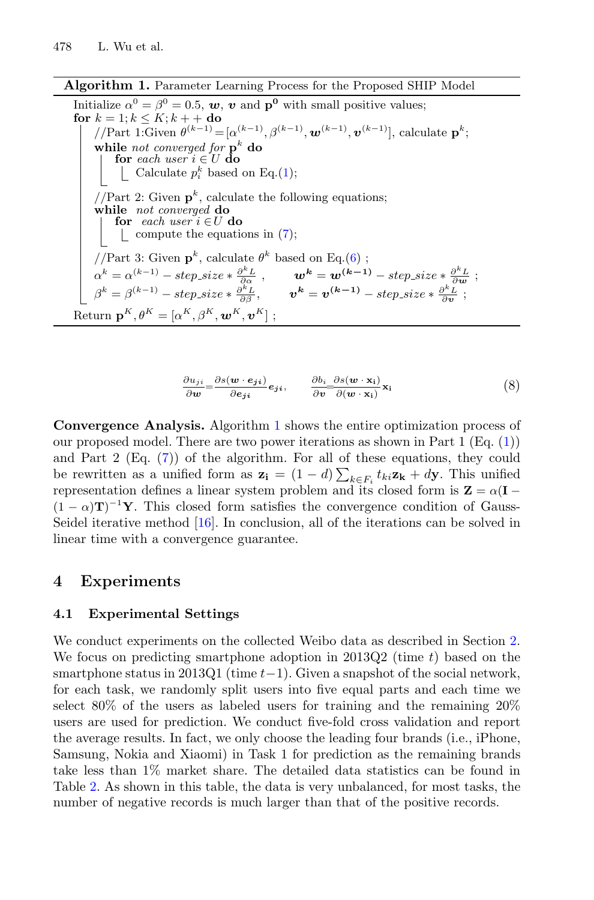**Algorithm 1.** Parameter Learning Process for the Proposed SHIP Model

Initialize 
$$
\alpha^0 = \beta^0 = 0.5
$$
, **w**, **v** and **p**<sup>0</sup> with small positive values;

\nfor  $k = 1; k \leq K; k + +$  do

\n $//Part 1: Given \theta^{(k-1)} = [\alpha^{(k-1)}, \beta^{(k-1)}, \mathbf{w}^{(k-1)}, \mathbf{v}^{(k-1)}],$  calculate  $\mathbf{p}^k$ ;

\nwhile *not converged for*  $\mathbf{p}^k$  **do**

\n $\begin{bmatrix}\n\mathbf{or} each user \mathbf{i} \in U \mathbf{do} \\
\mathbf{or} each user \mathbf{i} \in U \mathbf{do}\n\end{bmatrix}$ 

\n $//Part 2: Given \mathbf{p}^k$ , calculate the following equations;

\nwhile *not converged* **do**

\nfor *each user*  $i \in U$  **do**

\n $\begin{bmatrix}\n\mathbf{or} each user \mathbf{i} \in U \mathbf{do} \\
\mathbf{or} \mathbf{co}(\mathbf{i})\n\end{bmatrix}$ 

\n $//Part 3: Given \mathbf{p}^k$ , calculate  $\theta^k$  based on Eq.(6);

\n $\alpha^k = \alpha^{(k-1)} - step\_size * \frac{\partial^k L}{\partial \alpha}$ ,  $\mathbf{w}^k = \mathbf{w}^{(k-1)} - step\_size * \frac{\partial^k L}{\partial \mathbf{w}}$ ;

\n $\beta^k = \beta^{(k-1)} - step\_size * \frac{\partial^k L}{\partial \beta}$ ,  $\mathbf{v}^k = \mathbf{v}^{(k-1)} - step\_size * \frac{\partial^k L}{\partial \mathbf{v}}$ ;

\nReturn  $\mathbf{p}^K, \theta^K = [\alpha^K, \beta^K, \mathbf{w}^K, \mathbf{v}^K]$ ;

$$
\frac{\partial u_{ji}}{\partial w} = \frac{\partial s(w \cdot e_{ji})}{\partial e_{ji}} e_{ji}, \qquad \frac{\partial b_i}{\partial v} = \frac{\partial s(w \cdot x_i)}{\partial (w \cdot x_i)} x_i
$$
(8)

<span id="page-6-0"></span>**Convergence Analysis.** Algorithm [1](#page-6-0) shows the entire optimization process of our proposed model. There are two power iterations as shown in Part 1 (Eq. [\(1\)](#page-4-0)) and Part 2 (Eq. [\(7\)](#page-5-1)) of the algorithm. For all of these equations, they could be rewritten as a unified form as  $z_i = (1 - d) \sum_{k \in F_i} t_{ki} z_k + dy$ . This unified representation defines a linear system problem and its closed form is  $\mathbf{Z} = \alpha(\mathbf{I} - \mathbf{I})$  $(1 - \alpha)\mathbf{T}$ <sup>-1</sup>**Y**. This closed form satisfies the convergence condition of Gauss-<br>Soidal iterative method [16]. In conclusion, all of the iterations can be solved in Seidel iterative method [\[16](#page-13-13)]. In conclusion, all of the iterations can be solved in linear time with a convergence guarantee.

#### **4 Experiments**

#### **4.1 Experimental Settings**

We conduct experiments on the collected Weibo data as described in Section [2.](#page-2-0) We focus on predicting smartphone adoption in 2013Q2 (time  $t$ ) based on the smartphone status in 2013Q1 (time  $t-1$ ). Given a snapshot of the social network, for each task, we randomly split users into five equal parts and each time we select 80% of the users as labeled users for training and the remaining 20% users are used for prediction. We conduct five-fold cross validation and report the average results. In fact, we only choose the leading four brands (i.e., iPhone, Samsung, Nokia and Xiaomi) in Task 1 for prediction as the remaining brands take less than 1% market share. The detailed data statistics can be found in Table [2.](#page-7-0) As shown in this table, the data is very unbalanced, for most tasks, the number of negative records is much larger than that of the positive records.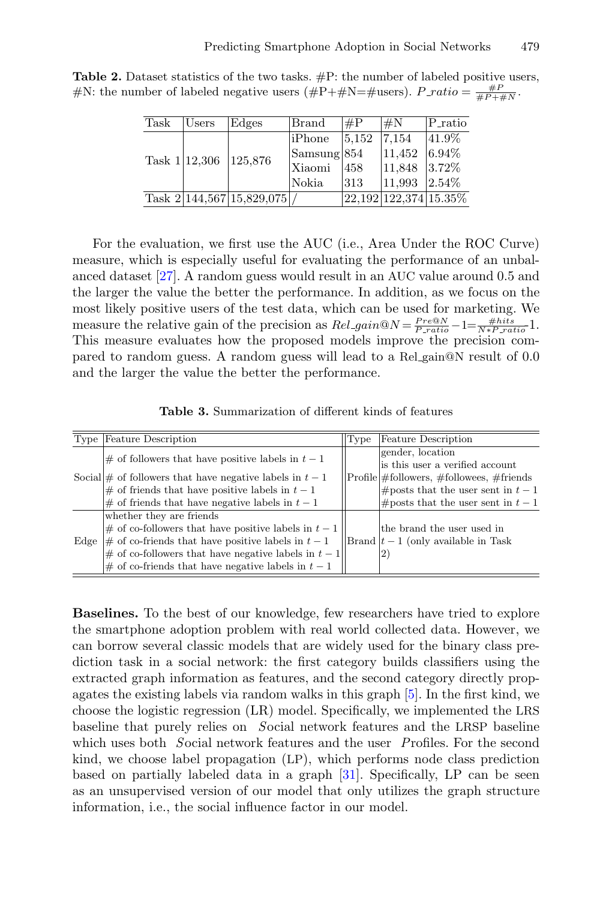| Task            | Users | Edges                        | Brand                  | $\#P$ | $\sharp N$              | $P_{\text{ratio}}$ |
|-----------------|-------|------------------------------|------------------------|-------|-------------------------|--------------------|
| Task $1 12,306$ |       | 125,876                      | <b>liPhone</b>         | 5.152 | 7.154                   | $ 41.9\%$          |
|                 |       |                              | $\textsf{Samsung} 854$ |       | 11,452                  | 6.94%              |
|                 |       |                              | Xiaomi                 | 458   | $ 11,848 \t 3.72\%$     |                    |
|                 |       |                              | Nokia                  | 313   | 11.993                  | $2.54\%$           |
|                 |       | Task $2 144,567 15,829,075 $ |                        |       | 22, 192 122, 374 15.35% |                    |

<span id="page-7-0"></span>**Table 2.** Dataset statistics of the two tasks. #P: the number of labeled positive users, #N: the number of labeled negative users (#P+#N=#users).  $P\_ratio = \frac{\#P}{\#P + \#N}$ .

For the evaluation, we first use the AUC (i.e., Area Under the ROC Curve) measure, which is especially useful for evaluating the performance of an unbalanced dataset [\[27](#page-13-14)]. A random guess would result in an AUC value around 0.5 and the larger the value the better the performance. In addition, as we focus on the most likely positive users of the test data, which can be used for marketing. We measure the relative gain of the precision as  $Rel\_gain@N = \frac{Pre@N}{Pre\_ratio} - 1 = \frac{\#hits}{N * P\_ratio} - 1.$ <br>This measure evaluates how the proposed models improve the procession com-This measure evaluates how the proposed models improve the precision compared to random guess. A random guess will lead to a Rel gain@N result of 0.0 and the larger the value the better the performance.

<span id="page-7-1"></span>**Table 3.** Summarization of different kinds of features

|      | Type Feature Description                                                                                                                                                  | Type | <b>Feature Description</b>                          |
|------|---------------------------------------------------------------------------------------------------------------------------------------------------------------------------|------|-----------------------------------------------------|
|      | $\#$ of followers that have positive labels in $t-1$<br>Social $\#$ of followers that have negative labels in $t-1$<br>$\#$ of friends that have positive labels in $t-1$ |      | gender, location<br>is this user a verified account |
|      |                                                                                                                                                                           |      | $Profile \#followers, \#followees, \#friends$       |
|      |                                                                                                                                                                           |      | $ \text{\# posts that the user sent in } t-1$       |
|      | $ \#$ of friends that have negative labels in $t-1$                                                                                                                       |      | #posts that the user sent in $t-1$                  |
|      | whether they are friends                                                                                                                                                  |      |                                                     |
| Edge | $\#$ of co-followers that have positive labels in $t-1$                                                                                                                   |      | the brand the user used in                          |
|      | $ \#$ of co-friends that have positive labels in $t-1$                                                                                                                    |      | Brand $ t-1 $ (only available in Task               |
|      | # of co-followers that have negative labels in $t-1$                                                                                                                      |      | $^{2)}$                                             |
|      | $\#$ of co-friends that have negative labels in $t-1$                                                                                                                     |      |                                                     |
|      |                                                                                                                                                                           |      |                                                     |

**Baselines.** To the best of our knowledge, few researchers have tried to explore the smartphone adoption problem with real world collected data. However, we can borrow several classic models that are widely used for the binary class prediction task in a social network: the first category builds classifiers using the extracted graph information as features, and the second category directly propagates the existing labels via random walks in this graph [\[5\]](#page-12-5). In the first kind, we choose the logistic regression (LR) model. Specifically, we implemented the LRS baseline that purely relies on *S*ocial network features and the LRSP baseline which uses both *S*ocial network features and the user *P*rofiles. For the second kind, we choose label propagation (LP), which performs node class prediction based on partially labeled data in a graph [\[31](#page-13-15)]. Specifically, LP can be seen as an unsupervised version of our model that only utilizes the graph structure information, i.e., the social influence factor in our model.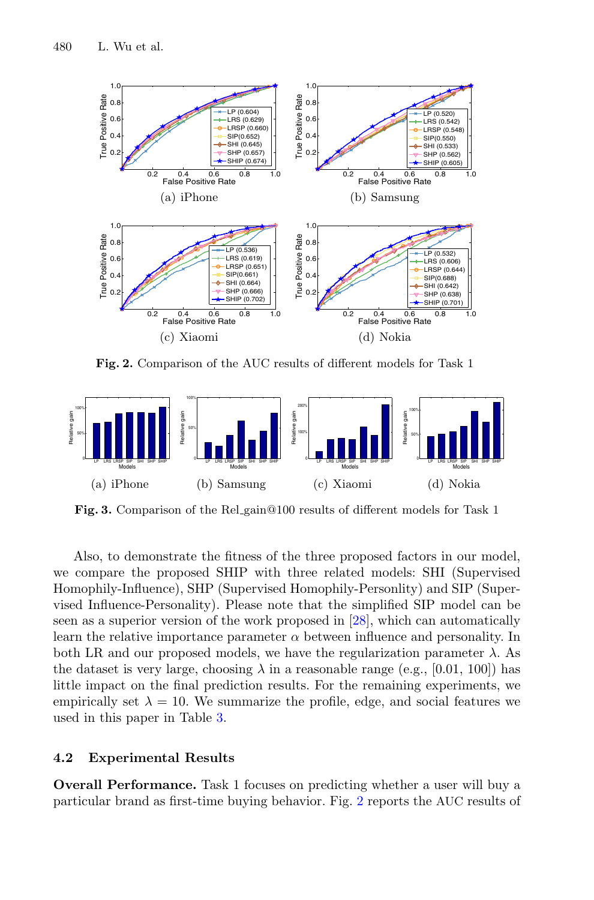

**Fig. 2.** Comparison of the AUC results of different models for Task 1

<span id="page-8-0"></span>

<span id="page-8-1"></span>**Fig. 3.** Comparison of the Rel gain@100 results of different models for Task 1

Also, to demonstrate the fitness of the three proposed factors in our model, we compare the proposed SHIP with three related models: SHI (Supervised Homophily-Influence), SHP (Supervised Homophily-Personlity) and SIP (Supervised Influence-Personality). Please note that the simplified SIP model can be seen as a superior version of the work proposed in [\[28\]](#page-13-11), which can automatically learn the relative importance parameter  $\alpha$  between influence and personality. In both LR and our proposed models, we have the regularization parameter  $\lambda$ . As the dataset is very large, choosing  $\lambda$  in a reasonable range (e.g., [0.01, 100]) has little impact on the final prediction results. For the remaining experiments, we empirically set  $\lambda = 10$ . We summarize the profile, edge, and social features we used in this paper in Table [3.](#page-7-1)

#### **4.2 Experimental Results**

**Overall Performance.** Task 1 focuses on predicting whether a user will buy a particular brand as first-time buying behavior. Fig. [2](#page-8-0) reports the AUC results of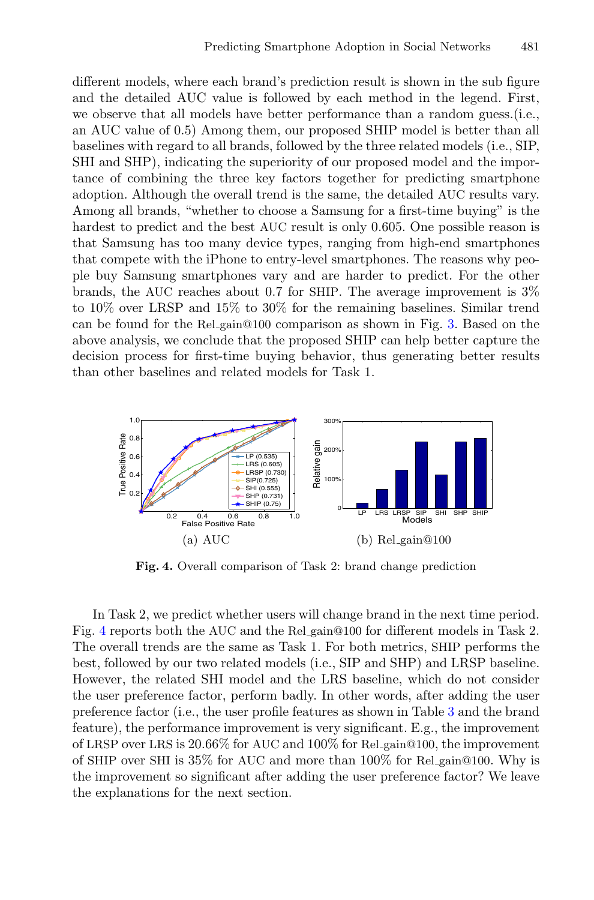different models, where each brand's prediction result is shown in the sub figure and the detailed AUC value is followed by each method in the legend. First, we observe that all models have better performance than a random guess.(i.e., an AUC value of 0.5) Among them, our proposed SHIP model is better than all baselines with regard to all brands, followed by the three related models (i.e., SIP, SHI and SHP), indicating the superiority of our proposed model and the importance of combining the three key factors together for predicting smartphone adoption. Although the overall trend is the same, the detailed AUC results vary. Among all brands, "whether to choose a Samsung for a first-time buying" is the hardest to predict and the best AUC result is only 0.605. One possible reason is that Samsung has too many device types, ranging from high-end smartphones that compete with the iPhone to entry-level smartphones. The reasons why people buy Samsung smartphones vary and are harder to predict. For the other brands, the AUC reaches about 0.7 for SHIP. The average improvement is 3% to 10% over LRSP and 15% to 30% for the remaining baselines. Similar trend can be found for the Rel gain@100 comparison as shown in Fig. [3.](#page-8-1) Based on the above analysis, we conclude that the proposed SHIP can help better capture the decision process for first-time buying behavior, thus generating better results than other baselines and related models for Task 1.



**Fig. 4.** Overall comparison of Task 2: brand change prediction

<span id="page-9-0"></span>In Task 2, we predict whether users will change brand in the next time period. Fig. [4](#page-9-0) reports both the AUC and the Rel gain@100 for different models in Task 2. The overall trends are the same as Task 1. For both metrics, SHIP performs the best, followed by our two related models (i.e., SIP and SHP) and LRSP baseline. However, the related SHI model and the LRS baseline, which do not consider the user preference factor, perform badly. In other words, after adding the user preference factor (i.e., the user profile features as shown in Table [3](#page-7-1) and the brand feature), the performance improvement is very significant. E.g., the improvement of LRSP over LRS is  $20.66\%$  for AUC and  $100\%$  for Rel gain@100, the improvement of SHIP over SHI is 35% for AUC and more than 100% for Rel gain@100. Why is the improvement so significant after adding the user preference factor? We leave the explanations for the next section.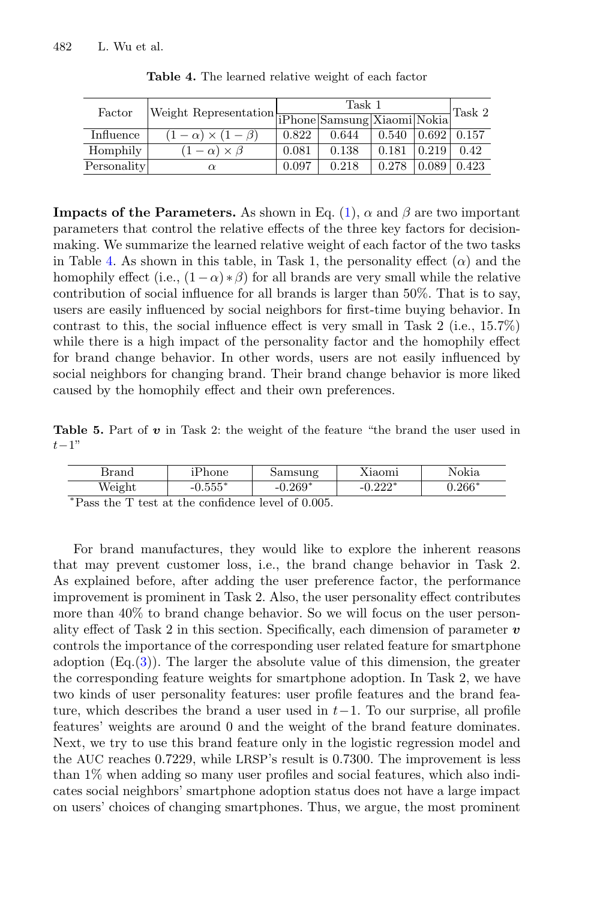<span id="page-10-0"></span>

| Factor      | $\label{thm:1} \begin{array}{ l } \hline \textbf{Weight Representation} & \textbf{ }\textbf{I}\textbf{Phone} \textbf{Samsung} \textbf{Xiaomi} \textbf{Nokia}  \hline \end{array}$ |       | Task 2 |       |                    |       |
|-------------|-----------------------------------------------------------------------------------------------------------------------------------------------------------------------------------|-------|--------|-------|--------------------|-------|
|             |                                                                                                                                                                                   |       |        |       |                    |       |
| Influence   | $(1-\alpha) \times (1-\beta)$                                                                                                                                                     | 0.822 | 0.644  | 0.540 | $0.692 \mid 0.157$ |       |
| Homphily    | $(1-\alpha) \times \beta$                                                                                                                                                         | 0.081 | 0.138  | 0.181 | 0.219              | 0.42  |
| Personality | $\alpha$                                                                                                                                                                          | 0.097 | 0.218  | 0.278 | 0.089              | 0.423 |
|             |                                                                                                                                                                                   |       |        |       |                    |       |

**Table 4.** The learned relative weight of each factor

**Impacts of the Parameters.** As shown in Eq. [\(1\)](#page-4-0),  $\alpha$  and  $\beta$  are two important parameters that control the relative effects of the three key factors for decisionmaking. We summarize the learned relative weight of each factor of the two tasks in Table [4.](#page-10-0) As shown in this table, in Task 1, the personality effect  $(\alpha)$  and the homophily effect (i.e.,  $(1-\alpha)*\beta$ ) for all brands are very small while the relative contribution of social influence for all brands is larger than 50%. That is to say, users are easily influenced by social neighbors for first-time buying behavior. In contrast to this, the social influence effect is very small in Task 2 (i.e., 15.7%) while there is a high impact of the personality factor and the homophily effect for brand change behavior. In other words, users are not easily influenced by social neighbors for changing brand. Their brand change behavior is more liked caused by the homophily effect and their own preferences.

<span id="page-10-1"></span>**Table 5.** Part of *v* in Task 2: the weight of the feature "the brand the user used in  $t-1"$ 

| Brand  | 'hone<br>ີ⊢        | Samsung   | Aiaomi                  | Nokia    |
|--------|--------------------|-----------|-------------------------|----------|
| Weight | $   \ast$<br>J.JJJ | $-0.269*$ | റററ*<br>$-1$ .<br>. 444 | $0.266*$ |

<sup>∗</sup>Pass the T test at the confidence level of 0.005.

For brand manufactures, they would like to explore the inherent reasons that may prevent customer loss, i.e., the brand change behavior in Task 2. As explained before, after adding the user preference factor, the performance improvement is prominent in Task 2. Also, the user personality effect contributes more than 40% to brand change behavior. So we will focus on the user personality effect of Task 2 in this section. Specifically, each dimension of parameter *v* controls the importance of the corresponding user related feature for smartphone adoption  $(Eq.(3))$  $(Eq.(3))$  $(Eq.(3))$ . The larger the absolute value of this dimension, the greater the corresponding feature weights for smartphone adoption. In Task 2, we have two kinds of user personality features: user profile features and the brand feature, which describes the brand a user used in  $t-1$ . To our surprise, all profile features' weights are around 0 and the weight of the brand feature dominates. Next, we try to use this brand feature only in the logistic regression model and the AUC reaches 0.7229, while LRSP's result is 0.7300. The improvement is less than 1% when adding so many user profiles and social features, which also indicates social neighbors' smartphone adoption status does not have a large impact on users' choices of changing smartphones. Thus, we argue, the most prominent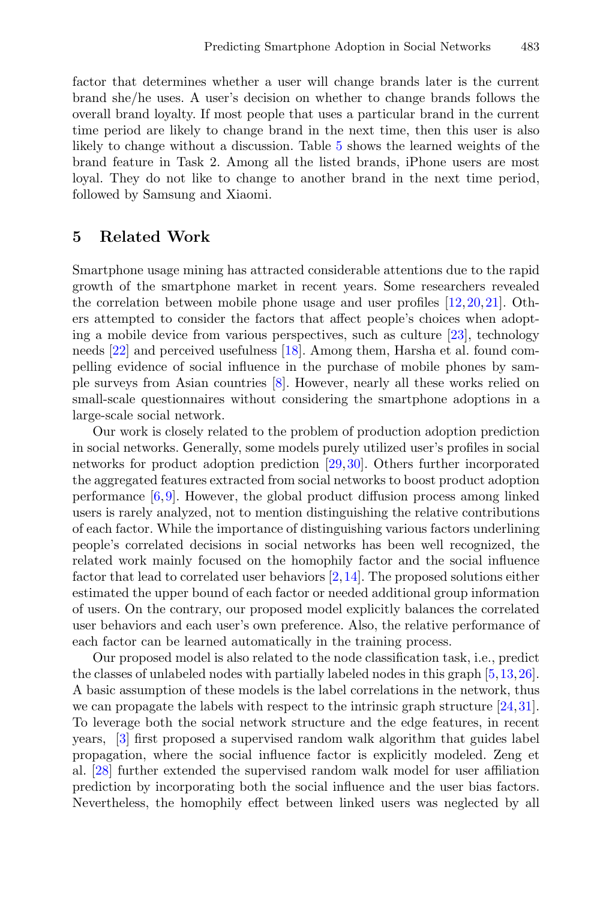factor that determines whether a user will change brands later is the current brand she/he uses. A user's decision on whether to change brands follows the overall brand loyalty. If most people that uses a particular brand in the current time period are likely to change brand in the next time, then this user is also likely to change without a discussion. Table [5](#page-10-1) shows the learned weights of the brand feature in Task 2. Among all the listed brands, iPhone users are most loyal. They do not like to change to another brand in the next time period, followed by Samsung and Xiaomi.

#### **5 Related Work**

Smartphone usage mining has attracted considerable attentions due to the rapid growth of the smartphone market in recent years. Some researchers revealed the correlation between mobile phone usage and user profiles [\[12,](#page-13-16)[20,](#page-13-17)[21](#page-13-18)]. Others attempted to consider the factors that affect people's choices when adopting a mobile device from various perspectives, such as culture [\[23\]](#page-13-2), technology needs [\[22](#page-13-3)] and perceived usefulness [\[18\]](#page-13-4). Among them, Harsha et al. found compelling evidence of social influence in the purchase of mobile phones by sample surveys from Asian countries [\[8\]](#page-12-6). However, nearly all these works relied on small-scale questionnaires without considering the smartphone adoptions in a large-scale social network.

Our work is closely related to the problem of production adoption prediction in social networks. Generally, some models purely utilized user's profiles in social networks for product adoption prediction [\[29](#page-13-8),[30\]](#page-13-9). Others further incorporated the aggregated features extracted from social networks to boost product adoption performance  $[6,9]$  $[6,9]$ . However, the global product diffusion process among linked users is rarely analyzed, not to mention distinguishing the relative contributions of each factor. While the importance of distinguishing various factors underlining people's correlated decisions in social networks has been well recognized, the related work mainly focused on the homophily factor and the social influence factor that lead to correlated user behaviors [\[2,](#page-12-3)[14\]](#page-13-10). The proposed solutions either estimated the upper bound of each factor or needed additional group information of users. On the contrary, our proposed model explicitly balances the correlated user behaviors and each user's own preference. Also, the relative performance of each factor can be learned automatically in the training process.

Our proposed model is also related to the node classification task, i.e., predict the classes of unlabeled nodes with partially labeled nodes in this graph [\[5](#page-12-5)[,13](#page-13-19),[26\]](#page-13-20). A basic assumption of these models is the label correlations in the network, thus we can propagate the labels with respect to the intrinsic graph structure [\[24](#page-13-21),[31\]](#page-13-15). To leverage both the social network structure and the edge features, in recent years, [\[3](#page-12-4)] first proposed a supervised random walk algorithm that guides label propagation, where the social influence factor is explicitly modeled. Zeng et al. [\[28\]](#page-13-11) further extended the supervised random walk model for user affiliation prediction by incorporating both the social influence and the user bias factors. Nevertheless, the homophily effect between linked users was neglected by all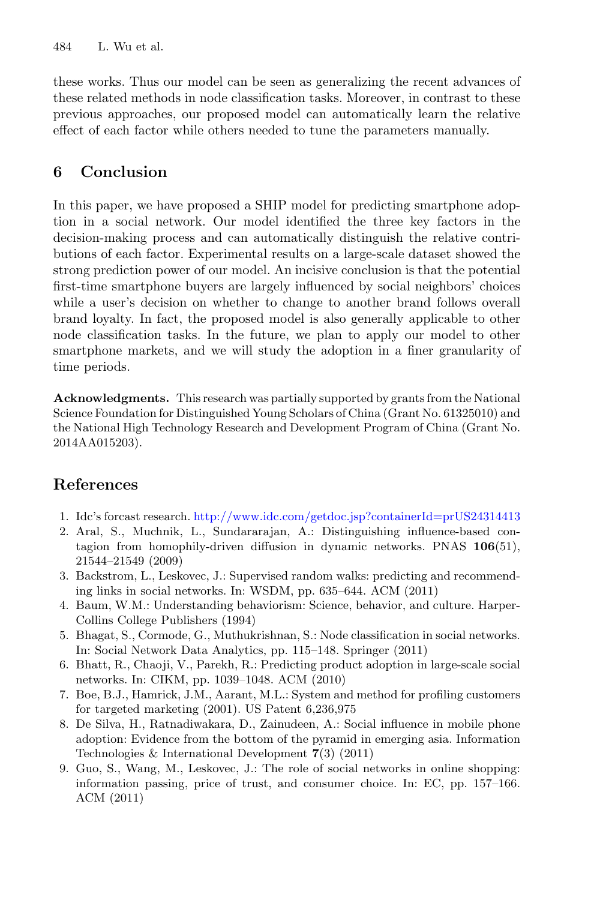these works. Thus our model can be seen as generalizing the recent advances of these related methods in node classification tasks. Moreover, in contrast to these previous approaches, our proposed model can automatically learn the relative effect of each factor while others needed to tune the parameters manually.

## **6 Conclusion**

In this paper, we have proposed a SHIP model for predicting smartphone adoption in a social network. Our model identified the three key factors in the decision-making process and can automatically distinguish the relative contributions of each factor. Experimental results on a large-scale dataset showed the strong prediction power of our model. An incisive conclusion is that the potential first-time smartphone buyers are largely influenced by social neighbors' choices while a user's decision on whether to change to another brand follows overall brand loyalty. In fact, the proposed model is also generally applicable to other node classification tasks. In the future, we plan to apply our model to other smartphone markets, and we will study the adoption in a finer granularity of time periods.

**Acknowledgments.** This research was partially supported by grants from the National Science Foundation for Distinguished Young Scholars of China (Grant No. 61325010) and the National High Technology Research and Development Program of China (Grant No. 2014AA015203).

## **References**

- <span id="page-12-0"></span>1. Idc's forcast research. <http://www.idc.com/getdoc.jsp?containerId=prUS24314413>
- <span id="page-12-3"></span>2. Aral, S., Muchnik, L., Sundararajan, A.: Distinguishing influence-based contagion from homophily-driven diffusion in dynamic networks. PNAS **106**(51), 21544–21549 (2009)
- <span id="page-12-4"></span>3. Backstrom, L., Leskovec, J.: Supervised random walks: predicting and recommending links in social networks. In: WSDM, pp. 635–644. ACM (2011)
- <span id="page-12-1"></span>4. Baum, W.M.: Understanding behaviorism: Science, behavior, and culture. Harper-Collins College Publishers (1994)
- <span id="page-12-5"></span>5. Bhagat, S., Cormode, G., Muthukrishnan, S.: Node classification in social networks. In: Social Network Data Analytics, pp. 115–148. Springer (2011)
- <span id="page-12-7"></span>6. Bhatt, R., Chaoji, V., Parekh, R.: Predicting product adoption in large-scale social networks. In: CIKM, pp. 1039–1048. ACM (2010)
- <span id="page-12-2"></span>7. Boe, B.J., Hamrick, J.M., Aarant, M.L.: System and method for profiling customers for targeted marketing (2001). US Patent 6,236,975
- <span id="page-12-6"></span>8. De Silva, H., Ratnadiwakara, D., Zainudeen, A.: Social influence in mobile phone adoption: Evidence from the bottom of the pyramid in emerging asia. Information Technologies & International Development **7**(3) (2011)
- <span id="page-12-8"></span>9. Guo, S., Wang, M., Leskovec, J.: The role of social networks in online shopping: information passing, price of trust, and consumer choice. In: EC, pp. 157–166. ACM (2011)